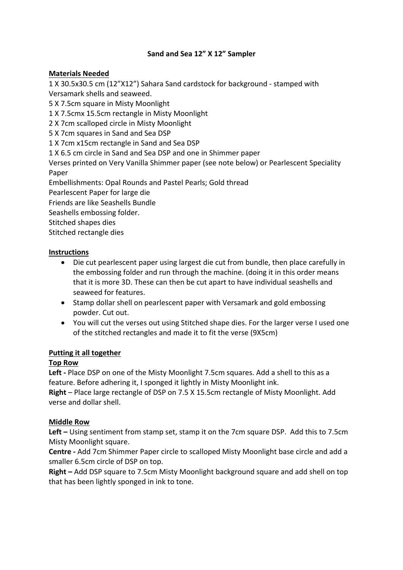# **Sand and Sea 12" X 12" Sampler**

# **Materials Needed**

1 X 30.5x30.5 cm (12"X12") Sahara Sand cardstock for background - stamped with Versamark shells and seaweed.

5 X 7.5cm square in Misty Moonlight

1 X 7.5cmx 15.5cm rectangle in Misty Moonlight

2 X 7cm scalloped circle in Misty Moonlight

5 X 7cm squares in Sand and Sea DSP

1 X 7cm x15cm rectangle in Sand and Sea DSP

1 X 6.5 cm circle in Sand and Sea DSP and one in Shimmer paper

Verses printed on Very Vanilla Shimmer paper (see note below) or Pearlescent Speciality Paper

Embellishments: Opal Rounds and Pastel Pearls; Gold thread

Pearlescent Paper for large die

Friends are like Seashells Bundle

Seashells embossing folder.

Stitched shapes dies

Stitched rectangle dies

## **Instructions**

- Die cut pearlescent paper using largest die cut from bundle, then place carefully in the embossing folder and run through the machine. (doing it in this order means that it is more 3D. These can then be cut apart to have individual seashells and seaweed for features.
- Stamp dollar shell on pearlescent paper with Versamark and gold embossing powder. Cut out.
- You will cut the verses out using Stitched shape dies. For the larger verse I used one of the stitched rectangles and made it to fit the verse (9X5cm)

## **Putting it all together**

## **Top Row**

**Left -** Place DSP on one of the Misty Moonlight 7.5cm squares. Add a shell to this as a feature. Before adhering it, I sponged it lightly in Misty Moonlight ink.

**Right** – Place large rectangle of DSP on 7.5 X 15.5cm rectangle of Misty Moonlight. Add verse and dollar shell.

## **Middle Row**

**Left –** Using sentiment from stamp set, stamp it on the 7cm square DSP.Add this to 7.5cm Misty Moonlight square.

**Centre -** Add 7cm Shimmer Paper circle to scalloped Misty Moonlight base circle and add a smaller 6.5cm circle of DSP on top.

**Right –** Add DSP square to 7.5cm Misty Moonlight background square and add shell on top that has been lightly sponged in ink to tone.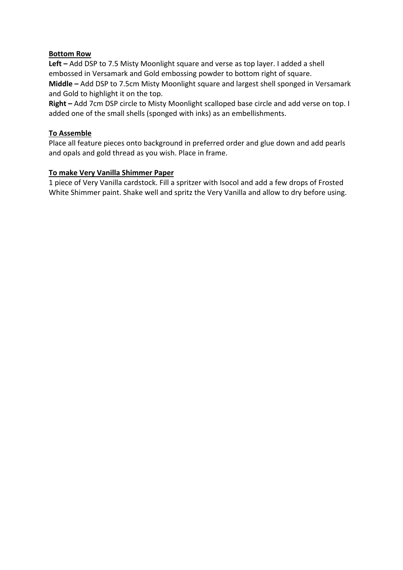## **Bottom Row**

**Left –** Add DSP to 7.5 Misty Moonlight square and verse as top layer. I added a shell embossed in Versamark and Gold embossing powder to bottom right of square.

**Middle –** Add DSP to 7.5cm Misty Moonlight square and largest shell sponged in Versamark and Gold to highlight it on the top.

**Right –** Add 7cm DSP circle to Misty Moonlight scalloped base circle and add verse on top. I added one of the small shells (sponged with inks) as an embellishments.

#### **To Assemble**

Place all feature pieces onto background in preferred order and glue down and add pearls and opals and gold thread as you wish. Place in frame.

#### **To make Very Vanilla Shimmer Paper**

1 piece of Very Vanilla cardstock. Fill a spritzer with Isocol and add a few drops of Frosted White Shimmer paint. Shake well and spritz the Very Vanilla and allow to dry before using.